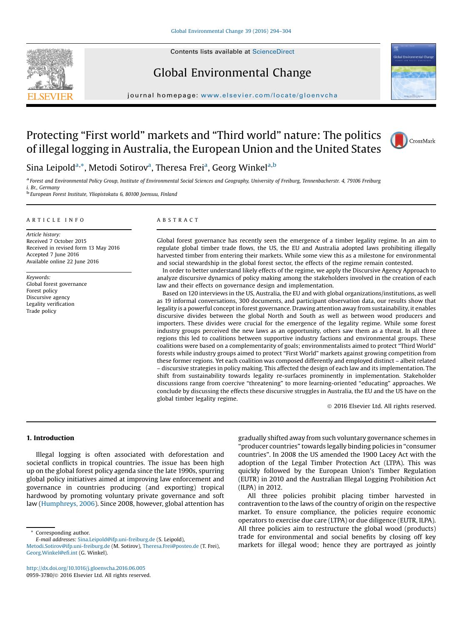



## Global Environmental Change

journal homepage: <www.elsevier.com/locate/gloenvcha>alsevier.com/locate/gloenvchaalsevier.com/locate/gloenvchaalsevier.com/locate/gloenvchaalsevier.com/locate/gloenvchaalsevier.com/locate/gloenvchaalsevier.com/locate/gloen

## Protecting "First world" markets and "Third world" nature: The politics of illegal logging in Australia, the European Union and the United States



### Sina Leipold<sup>a,</sup>\*, Metodi Sotirov<sup>a</sup>, Theresa Frei<sup>a</sup>, Georg Winkel<sup>a,b</sup>

a Forest and Environmental Policy Group, Institute of Environmental Social Sciences and Geography, University of Freiburg, Tennenbacherstr. 4, 79106 Freiburg<br>i. Br., Germany

<sup>b</sup> European Forest Institute, Yliopistokatu 6, 80100 Joensuu, Finland

#### A R T I C L E I N F O

Accepted 7 June 2016 Available online 22 June 2016

Global forest governance

Received in revised form 13 May 2016

Article history: Received 7 October 2015

Keywords:

Forest policy Discursive agency Legality verification Trade policy

A B S T R A C T

Global forest governance has recently seen the emergence of a timber legality regime. In an aim to regulate global timber trade flows, the US, the EU and Australia adopted laws prohibiting illegally harvested timber from entering their markets. While some view this as a milestone for environmental and social stewardship in the global forest sector, the effects of the regime remain contested.

In order to better understand likely effects of the regime, we apply the Discursive Agency Approach to analyze discursive dynamics of policy making among the stakeholders involved in the creation of each law and their effects on governance design and implementation.

Based on 120 interviews in the US, Australia, the EU and with global organizations/institutions, as well as 19 informal conversations, 300 documents, and participant observation data, our results show that legality is a powerful concept in forest governance. Drawing attention away from sustainability, it enables discursive divides between the global North and South as well as between wood producers and importers. These divides were crucial for the emergence of the legality regime. While some forest industry groups perceived the new laws as an opportunity, others saw them as a threat. In all three regions this led to coalitions between supportive industry factions and environmental groups. These coalitions were based on a complementarity of goals; environmentalists aimed to protect "Third World" forests while industry groups aimed to protect "First World" markets against growing competition from these former regions. Yet each coalition was composed differently and employed distinct – albeit related – discursive strategies in policy making. This affected the design of each law and its implementation. The shift from sustainability towards legality re-surfaces prominently in implementation. Stakeholder discussions range from coercive "threatening" to more learning-oriented "educating" approaches. We conclude by discussing the effects these discursive struggles in Australia, the EU and the US have on the global timber legality regime.

ã 2016 Elsevier Ltd. All rights reserved.

#### 1. Introduction

Illegal logging is often associated with deforestation and societal conflicts in tropical countries. The issue has been high up on the global forest policy agenda since the late 1990s, spurring global policy initiatives aimed at improving law enforcement and governance in countries producing (and exporting) tropical hardwood by promoting voluntary private governance and soft law [\(Humphreys,](#page--1-0) 2006). Since 2008, however, global attention has

\* Corresponding author.

<http://dx.doi.org/10.1016/j.gloenvcha.2016.06.005> 0959-3780/ã 2016 Elsevier Ltd. All rights reserved. gradually shifted away from such voluntary governance schemes in "producer countries" towards legally binding policies in "consumer countries". In 2008 the US amended the 1900 Lacey Act with the adoption of the Legal Timber Protection Act (LTPA). This was quickly followed by the European Union's Timber Regulation (EUTR) in 2010 and the Australian Illegal Logging Prohibition Act (ILPA) in 2012.

All three policies prohibit placing timber harvested in contravention to the laws of the country of origin on the respective market. To ensure compliance, the policies require economic operators to exercise due care (LTPA) or due diligence (EUTR, ILPA). All three policies aim to restructure the global wood (products) trade for environmental and social benefits by closing off key markets for illegal wood; hence they are portrayed as jointly

E-mail addresses: [Sina.Leipold@ifp.uni-freiburg.de](mailto:Sina.Leipold@ifp.uni-freiburg.de) (S. Leipold),

[Metodi.Sotirov@ifp.uni-freiburg.de](mailto:Metodi.Sotirov@ifp.uni-freiburg.de) (M. Sotirov), [Theresa.Frei@posteo.de](mailto:Theresa.Frei@posteo.de) (T. Frei), [Georg.Winkel@e](mailto:Georg.Winkel@efi.int)fi.int (G. Winkel).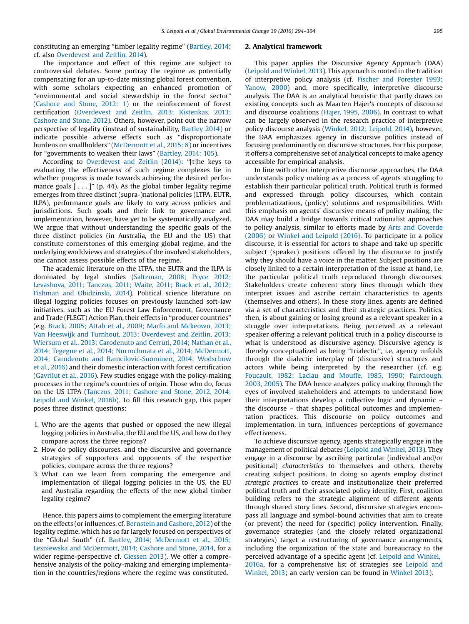constituting an emerging "timber legality regime" ([Bartley,](#page--1-0) 2014; cf. also [Overdevest](#page--1-0) and Zeitlin, 2014).

The importance and effect of this regime are subject to controversial debates. Some portray the regime as potentially compensating for an up-to-date missing global forest convention, with some scholars expecting an enhanced promotion of "environmental and social stewardship in the forest sector" ([Cashore](#page--1-0) and Stone, 2012: 1) or the reinforcement of forest certification ([Overdevest](#page--1-0) and Zeitlin, 2013; Kistenkas, 2013; [Cashore](#page--1-0) and Stone, 2012). Others, however, point out the narrow perspective of legality (instead of sustainability, [Bartley](#page--1-0) 2014) or indicate possible adverse effects such as "disproportionate burdens on smallholders" ([McDermott](#page--1-0) et al., 2015: 8) or incentives for "governments to weaken their laws" [\(Bartley,](#page--1-0) 2014: 105).

According to [Overdevest](#page--1-0) and Zeitlin (2014): "[t]he keys to evaluating the effectiveness of such regime complexes lie in whether progress is made towards achieving the desired performance goals  $[\ldots]$ " (p. 44). As the global timber legality regime emerges from three distinct (supra-)national policies (LTPA, EUTR, ILPA), performance goals are likely to vary across policies and jurisdictions. Such goals and their link to governance and implementation, however, have yet to be systematically analyzed. We argue that without understanding the specific goals of the three distinct policies (in Australia, the EU and the US) that constitute cornerstones of this emerging global regime, and the underlying worldviews and strategies of the involved stakeholders, one cannot assess possible effects of the regime.

The academic literature on the LTPA, the EUTR and the ILPA is dominated by legal studies [\(Saltzman,](#page--1-0) 2008; Pryce 2012; [Levashova,](#page--1-0) 2011; Tanczos, 2011; Waite, 2011; Brack et al., 2012; Fishman and [Obidzinski,](#page--1-0) 2014). Political science literature on illegal logging policies focuses on previously launched soft-law initiatives, such as the EU Forest Law Enforcement, Governance and Trade (FLEGT) Action Plan, their effects in "producer countries" (e.g. Brack, 2005; Attah et al., 2009; Marfo and [Mckeown,](#page--1-0) 2013; Van Heeswijk and Turnhout, 2013; [Overdevest](#page--1-0) and Zeitlin, 2013; Wiersum et al., 2013; [Carodenuto](#page--1-0) and Cerruti, 2014; Nathan et al., 2014; Tegegne et al., 2014; [Nurrochmata](#page--1-0) et al., 2014; McDermott, 2014; Carodenuto and [Ramcilovic-Suominen,](#page--1-0) 2014; Wodschow et al., [2016\)](#page--1-0) and their domestic interaction with forest certification ([Gavrilut](#page--1-0) et al., 2016). Few studies engage with the policy-making processes in the regime's countries of origin. Those who do, focus on the US LTPA [\(Tanczos,](#page--1-0) 2011; Cashore and Stone, 2012, 2014; Leipold and [Winkel,](#page--1-0) 2016b). To fill this research gap, this paper poses three distinct questions:

- 1. Who are the agents that pushed or opposed the new illegal logging policies in Australia, the EU and the US, and how do they compare across the three regions?
- 2. How do policy discourses, and the discursive and governance strategies of supporters and opponents of the respective policies, compare across the three regions?
- 3. What can we learn from comparing the emergence and implementation of illegal logging policies in the US, the EU and Australia regarding the effects of the new global timber legality regime?

Hence, this papers aims to complement the emerging literature on the effects (or influences, cf. [Bernstein](#page--1-0) and Cashore, 2012) of the legality regime, which has so far largely focused on perspectives of the "Global South" (cf. Bartley, 2014; [McDermott](#page--1-0) et al., 2015; Lesniewska and [McDermott,](#page--1-0) 2014; Cashore and Stone, 2014, for a wider regime-perspective cf. [Giessen](#page--1-0) 2013). We offer a comprehensive analysis of the policy-making and emerging implementation in the countries/regions where the regime was constituted.

#### 2. Analytical framework

This paper applies the Discursive Agency Approach (DAA) (Leipold and [Winkel,](#page--1-0) 2013). This approach is rooted in the tradition of interpretive policy analysis (cf. Fischer and [Forester](#page--1-0) 1993; [Yanow,](#page--1-0) 2000) and, more specifically, interpretive discourse analysis. The DAA is an analytical heuristic that partly draws on existing concepts such as Maarten Hajer's concepts of discourse and discourse coalitions [\(Hajer,](#page--1-0) 1995, 2006). In contrast to what can be largely observed in the research practice of interpretive policy discourse analysis [\(Winkel,](#page--1-0) 2012; Leipold, 2014), however, the DAA emphasizes agency in discursive politics instead of focusing predominantly on discursive structures. For this purpose, it offers a comprehensive set of analytical concepts to make agency accessible for empirical analysis.

In line with other interpretive discourse approaches, the DAA understands policy making as a process of agents struggling to establish their particular political truth. Political truth is formed and expressed through policy discourses, which contain problematizations, (policy) solutions and responsibilities. With this emphasis on agents' discursive means of policy making, the DAA may build a bridge towards critical rationalist approaches to policy analysis, similar to efforts made by Arts and [Goverde](#page--1-0) [\(2006\)](#page--1-0) or Winkel and [Leipold](#page--1-0) (2016). To participate in a policy discourse, it is essential for actors to shape and take up specific subject (speaker) positions offered by the discourse to justify why they should have a voice in the matter. Subject positions are closely linked to a certain interpretation of the issue at hand, i.e. the particular political truth reproduced through discourses. Stakeholders create coherent story lines through which they interpret issues and ascribe certain characteristics to agents (themselves and others). In these story lines, agents are defined via a set of characteristics and their strategic practices. Politics, then, is about gaining or losing ground as a relevant speaker in a struggle over interpretations. Being perceived as a relevant speaker offering a relevant political truth in a policy discourse is what is understood as discursive agency. Discursive agency is thereby conceptualized as being "trialectic", i.e. agency unfolds through the dialectic interplay of (discursive) structures and actors while being interpreted by the researcher (cf. e.g. Foucault, 1982; Laclau and Mouffe, 1985, 1990; [Fairclough,](#page--1-0) [2003,](#page--1-0) 2005). The DAA hence analyzes policy making through the eyes of involved stakeholders and attempts to understand how their interpretations develop a collective logic and dynamic – the discourse – that shapes political outcomes and implementation practices. This discourse on policy outcomes and implementation, in turn, influences perceptions of governance effectiveness.

To achieve discursive agency, agents strategically engage in the management of political debates (Leipold and [Winkel,](#page--1-0) 2013). They engage in a discourse by ascribing particular (individual and/or positional) characteristics to themselves and others, thereby creating subject positions. In doing so agents employ distinct strategic practices to create and institutionalize their preferred political truth and their associated policy identity. First, coalition building refers to the strategic alignment of different agents through shared story lines. Second, discursive strategies encompass all language and symbol-bound activities that aim to create (or prevent) the need for (specific) policy intervention. Finally, governance strategies (and the closely related organizational strategies) target a restructuring of governance arrangements, including the organization of the state and bureaucracy to the perceived advantage of a specific agent (cf. Leipold and [Winkel,](#page--1-0) [2016a](#page--1-0), for a comprehensive list of strategies see [Leipold](#page--1-0) and [Winkel,](#page--1-0) 2013; an early version can be found in [Winkel](#page--1-0) 2013).